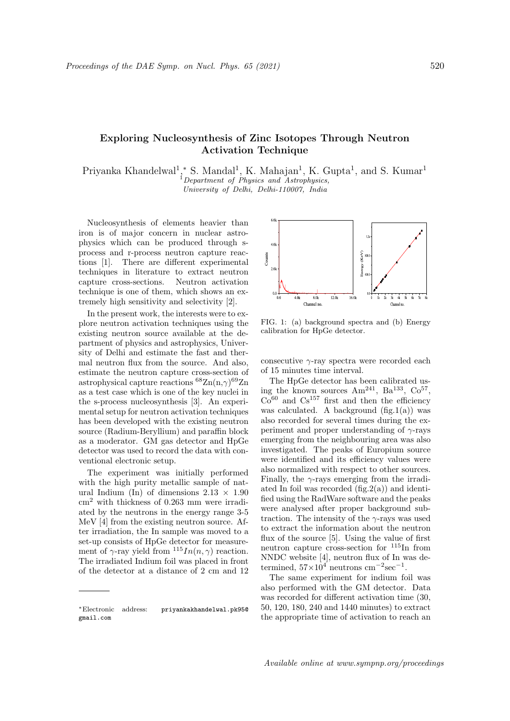## Exploring Nucleosynthesis of Zinc Isotopes Through Neutron Activation Technique

Priyanka Khandelwal<sup>1</sup>,\* S. Mandal<sup>1</sup>, K. Mahajan<sup>1</sup>, K. Gupta<sup>1</sup>, and S. Kumar<sup>1</sup> <sup>1</sup>Department of Physics and Astrophysics, University of Delhi, Delhi-110007, India

Nucleosynthesis of elements heavier than iron is of major concern in nuclear astrophysics which can be produced through sprocess and r-process neutron capture reactions [1]. There are different experimental techniques in literature to extract neutron capture cross-sections. Neutron activation technique is one of them, which shows an extremely high sensitivity and selectivity [2].

In the present work, the interests were to explore neutron activation techniques using the existing neutron source available at the department of physics and astrophysics, University of Delhi and estimate the fast and thermal neutron flux from the source. And also, estimate the neutron capture cross-section of astrophysical capture reactions  ${}^{68}\text{Zn}(n,\gamma){}^{69}\text{Zn}$ as a test case which is one of the key nuclei in the s-process nucleosynthesis [3]. An experimental setup for neutron activation techniques has been developed with the existing neutron source (Radium-Beryllium) and paraffin block as a moderator. GM gas detector and HpGe detector was used to record the data with conventional electronic setup.

The experiment was initially performed with the high purity metallic sample of natural Indium (In) of dimensions  $2.13 \times 1.90$ cm<sup>2</sup> with thickness of 0.263 mm were irradiated by the neutrons in the energy range 3-5 MeV [4] from the existing neutron source. After irradiation, the In sample was moved to a set-up consists of HpGe detector for measurement of  $\gamma$ -ray yield from  $115In(n, \gamma)$  reaction. The irradiated Indium foil was placed in front of the detector at a distance of 2 cm and 12



FIG. 1: (a) background spectra and (b) Energy calibration for HpGe detector.

consecutive  $\gamma$ -ray spectra were recorded each of 15 minutes time interval.

The HpGe detector has been calibrated using the known sources  $Am^{241}$ ,  $Ba^{133}$ ,  $Co^{57}$ ,  $\mathrm{Co}^{60}$  and  $\mathrm{Cs}^{157}$  first and then the efficiency was calculated. A background  $(fig.1(a))$  was also recorded for several times during the experiment and proper understanding of  $\gamma$ -rays emerging from the neighbouring area was also investigated. The peaks of Europium source were identified and its efficiency values were also normalized with respect to other sources. Finally, the  $\gamma$ -rays emerging from the irradiated In foil was recorded  $(fig.2(a))$  and identified using the RadWare software and the peaks were analysed after proper background subtraction. The intensity of the  $\gamma$ -rays was used to extract the information about the neutron flux of the source [5]. Using the value of first neutron capture cross-section for <sup>115</sup>In from NNDC website [4], neutron flux of In was determined,  $57 \times 10^4$  neutrons cm<sup>-2</sup>sec<sup>-1</sup>.

The same experiment for indium foil was also performed with the GM detector. Data was recorded for different activation time (30, 50, 120, 180, 240 and 1440 minutes) to extract the appropriate time of activation to reach an

<sup>∗</sup>Electronic address: priyankakhandelwal.pk95@ gmail.com